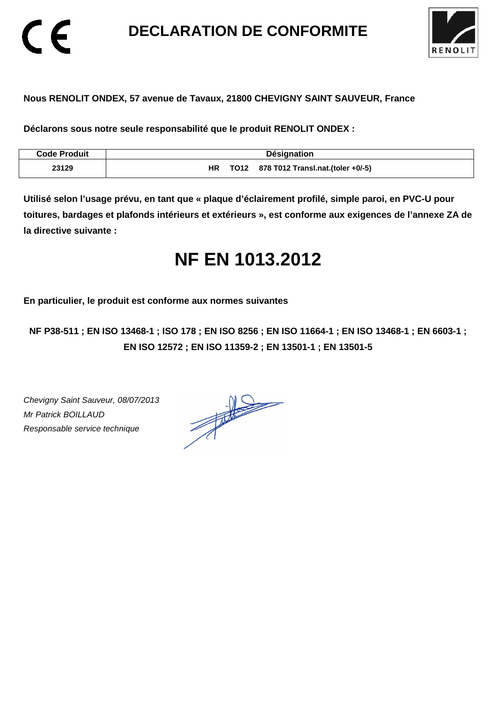**DECLARATION DE CONFORMITE** 



### **Nous RENOLIT ONDEX, 57 avenue de Tavaux, 21800 CHEVIGNY SAINT SAUVEUR, France**

**Déclarons sous notre seule responsabilité que le produit RENOLIT ONDEX :** 

| <b>Code Produit</b> | Désignation                                  |
|---------------------|----------------------------------------------|
| 23129               | TO12 878 T012 Transl.nat.(toler +0/-5)<br>ΗR |

**Utilisé selon l'usage prévu, en tant que « plaque d'éclairement profilé, simple paroi, en PVC-U pour toitures, bardages et plafonds intérieurs et extérieurs », est conforme aux exigences de l'annexe ZA de la directive suivante :** 

# **NF EN 1013.2012**

**En particulier, le produit est conforme aux normes suivantes** 

**NF P38-511 ; EN ISO 13468-1 ; ISO 178 ; EN ISO 8256 ; EN ISO 11664-1 ; EN ISO 13468-1 ; EN 6603-1 ; EN ISO 12572 ; EN ISO 11359-2 ; EN 13501-1 ; EN 13501-5**

Chevigny Saint Sauveur, 08/07/2013 Mr Patrick BOILLAUD Responsable service technique

 $\epsilon$ 

 $\frac{1}{\sqrt{2}}$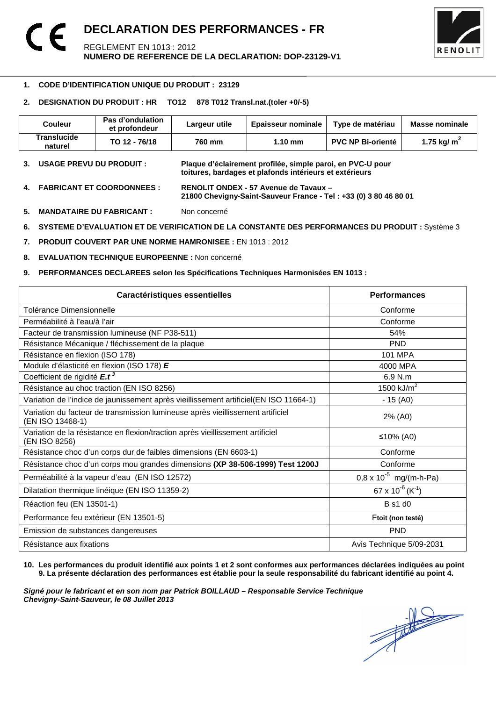

#### -**1. CODE D'IDENTIFICATION UNIQUE DU PRODUIT : 23129**

#### **2. DESIGNATION DU PRODUIT : HR TO12 878 T012 Transl.nat.(toler +0/-5)**

| <b>Couleur</b>         | Pas d'ondulation<br>et profondeur | Largeur utile | <b>Epaisseur nominale</b> | Type de matériau         | Masse nominale |
|------------------------|-----------------------------------|---------------|---------------------------|--------------------------|----------------|
| Translucide<br>naturel | TO 12 - 76/18                     | 760 mm        | $1.10 \text{ mm}$         | <b>PVC NP Bi-orienté</b> | 1.75 kg/ $m2$  |

- **3. USAGE PREVU DU PRODUIT : Plaque d'éclairement profilée, simple paroi, en PVC-U pour toitures, bardages et plafonds intérieurs et extérieurs**
- **4. FABRICANT ET COORDONNEES : RENOLIT ONDEX 57 Avenue de Tavaux 21800 Chevigny-Saint-Sauveur France - Tel : +33 (0) 3 80 46 80 01**
- **5. MANDATAIRE DU FABRICANT :** Non concerné
- **6. SYSTEME D'EVALUATION ET DE VERIFICATION DE LA CONSTANTE DES PERFORMANCES DU PRODUIT :** Système 3
- **7. PRODUIT COUVERT PAR UNE NORME HAMRONISEE :** EN 1013 : 2012
- **8. EVALUATION TECHNIQUE EUROPEENNE :** Non concerné
- **9. PERFORMANCES DECLAREES selon les Spécifications Techniques Harmonisées EN 1013 :**

| Caractéristiques essentielles                                                                      | <b>Performances</b>                      |
|----------------------------------------------------------------------------------------------------|------------------------------------------|
| Tolérance Dimensionnelle                                                                           | Conforme                                 |
| Perméabilité à l'eau/à l'air                                                                       | Conforme                                 |
| Facteur de transmission lumineuse (NF P38-511)                                                     | 54%                                      |
| Résistance Mécanique / fléchissement de la plaque                                                  | <b>PND</b>                               |
| Résistance en flexion (ISO 178)                                                                    | <b>101 MPA</b>                           |
| Module d'élasticité en flexion (ISO 178) E                                                         | 4000 MPA                                 |
| Coefficient de rigidité E.t <sup>3</sup>                                                           | 6.9 N.m                                  |
| Résistance au choc traction (EN ISO 8256)                                                          | 1500 $kJ/m2$                             |
| Variation de l'indice de jaunissement après vieillissement artificiel(EN ISO 11664-1)              | $-15(40)$                                |
| Variation du facteur de transmission lumineuse après vieillissement artificiel<br>(EN ISO 13468-1) | 2% (A0)                                  |
| Variation de la résistance en flexion/traction après vieillissement artificiel<br>(EN ISO 8256)    | ≤10% (A0)                                |
| Résistance choc d'un corps dur de faibles dimensions (EN 6603-1)                                   | Conforme                                 |
| Résistance choc d'un corps mou grandes dimensions (XP 38-506-1999) Test 1200J                      | Conforme                                 |
| Perméabilité à la vapeur d'eau (EN ISO 12572)                                                      | $0.8 \times 10^{-5}$ mg/(m-h-Pa)         |
| Dilatation thermique linéique (EN ISO 11359-2)                                                     | 67 x 10 <sup>-6</sup> (K <sup>-1</sup> ) |
| Réaction feu (EN 13501-1)                                                                          | B s1 d0                                  |
| Performance feu extérieur (EN 13501-5)                                                             | Ftoit (non testé)                        |
| Emission de substances dangereuses                                                                 | <b>PND</b>                               |
| Résistance aux fixations                                                                           | Avis Technique 5/09-2031                 |

#### **10. Les performances du produit identifié aux points 1 et 2 sont conformes aux performances déclarées indiquées au point 9. La présente déclaration des performances est établie pour la seule responsabilité du fabricant identifié au point 4.**

Signé pour le fabricant et en son nom par Patrick BOILLAUD – Responsable Service Technique<br>Chevigny-Saint-Sauveur, le 08 Juillet 2013<br> **Chevigny-Saint-Sauveur, le 08 Juillet 2013 Chevigny-Saint-Sauveur, le 08 Juillet 2013**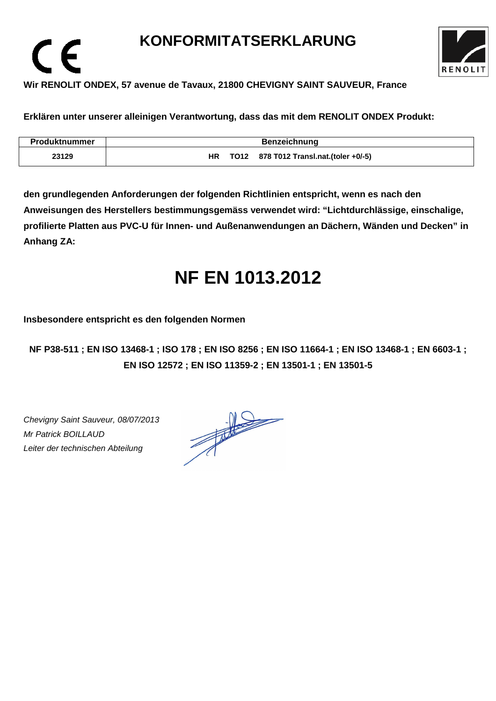## **KONFORMITATSERKLARUNG**



### **Wir RENOLIT ONDEX, 57 avenue de Tavaux, 21800 CHEVIGNY SAINT SAUVEUR, France**

**Erklären unter unserer alleinigen Verantwortung, dass das mit dem RENOLIT ONDEX Produkt:** 

| <b>Produktnummer</b> | <b>Benzeichnung</b>                           |
|----------------------|-----------------------------------------------|
| 23129                | TO12 878 T012 Transl.nat.(toler +0/-5)<br>HR. |

**den grundlegenden Anforderungen der folgenden Richtlinien entspricht, wenn es nach den Anweisungen des Herstellers bestimmungsgemäss verwendet wird: "Lichtdurchlässige, einschalige, profilierte Platten aus PVC-U für Innen- und Außenanwendungen an Dächern, Wänden und Decken" in Anhang ZA:** 

# **NF EN 1013.2012**

**Insbesondere entspricht es den folgenden Normen** 

**NF P38-511 ; EN ISO 13468-1 ; ISO 178 ; EN ISO 8256 ; EN ISO 11664-1 ; EN ISO 13468-1 ; EN 6603-1 ; EN ISO 12572 ; EN ISO 11359-2 ; EN 13501-1 ; EN 13501-5**

Chevigny Saint Sauveur, 08/07/2013 Mr Patrick BOILLAUD Leiter der technischen Abteilung

 $\epsilon$ 

 $\frac{1}{\sqrt{2}}$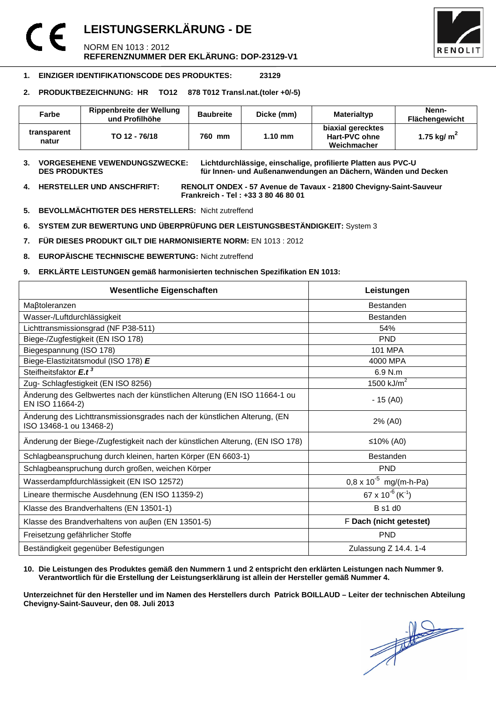### **LEISTUNGSERKLÄRUNG - DE**  NORM EN 1013 : 2012 **REFERENZNUMMER DER EKLÄRUNG: DOP-23129-V1**



#### **1. EINZIGER IDENTIFIKATIONSCODE DES PRODUKTES: 23129**

#### **2. PRODUKTBEZEICHNUNG: HR TO12 878 T012 Transl.nat.(toler +0/-5)**

| Farbe                | Rippenbreite der Wellung<br>und Profilhöhe | <b>Baubreite</b> | Dicke (mm) | <b>Materialtyp</b>                                | Nenn-<br><b>Flächengewicht</b> |
|----------------------|--------------------------------------------|------------------|------------|---------------------------------------------------|--------------------------------|
| transparent<br>natur | TO 12 - 76/18                              | 760 mm           | $1.10$ mm  | biaxial gerecktes<br>Hart-PVC ohne<br>Weichmacher | 1.75 kg/ $m2$                  |

**3. VORGESEHENE VEWENDUNGSZWECKE: Lichtdurchlässige, einschalige, profilierte Platten aus PVC-U**  für Innen- und Außenanwendungen an Dächern, Wänden und Decken

**4. HERSTELLER UND ANSCHFRIFT: RENOLIT ONDEX - 57 Avenue de Tavaux - 21800 Chevigny-Saint-Sauveur Frankreich - Tel : +33 3 80 46 80 01** 

- **5. BEVOLLMÄCHTIGTER DES HERSTELLERS:** Nicht zutreffend
- **6. SYSTEM ZUR BEWERTUNG UND ÜBERPRÜFUNG DER LEISTUNGSBESTÄNDIGKEIT:** System 3
- **7. FÜR DIESES PRODUKT GILT DIE HARMONISIERTE NORM:** EN 1013 : 2012
- **8. EUROPÄISCHE TECHNISCHE BEWERTUNG:** Nicht zutreffend
- **9. ERKLÄRTE LEISTUNGEN gemäß harmonisierten technischen Spezifikation EN 1013:**

| <b>Wesentliche Eigenschaften</b>                                                                    | Leistungen                             |  |
|-----------------------------------------------------------------------------------------------------|----------------------------------------|--|
| Maßtoleranzen                                                                                       | <b>Bestanden</b>                       |  |
| Wasser-/Luftdurchlässigkeit                                                                         | <b>Bestanden</b>                       |  |
| Lichttransmissionsgrad (NF P38-511)                                                                 | 54%                                    |  |
| Biege-/Zugfestigkeit (EN ISO 178)                                                                   | <b>PND</b>                             |  |
| Biegespannung (ISO 178)                                                                             | <b>101 MPA</b>                         |  |
| Biege-Elastizitätsmodul (ISO 178) E                                                                 | 4000 MPA                               |  |
| Steifheitsfaktor E.t <sup>3</sup>                                                                   | 6.9 N.m                                |  |
| Zug- Schlagfestigkeit (EN ISO 8256)                                                                 | 1500 $kJ/m2$                           |  |
| Änderung des Gelbwertes nach der künstlichen Alterung (EN ISO 11664-1 ou<br>EN ISO 11664-2)         | $-15(40)$                              |  |
| Änderung des Lichttransmissionsgrades nach der künstlichen Alterung, (EN<br>ISO 13468-1 ou 13468-2) | 2% (A0)                                |  |
| Änderung der Biege-/Zugfestigkeit nach der künstlichen Alterung, (EN ISO 178)                       | ≤10% (A0)                              |  |
| Schlagbeanspruchung durch kleinen, harten Körper (EN 6603-1)                                        | <b>Bestanden</b>                       |  |
| Schlagbeanspruchung durch großen, weichen Körper                                                    | <b>PND</b>                             |  |
| Wasserdampfdurchlässigkeit (EN ISO 12572)                                                           | $0.8 \times 10^{-5}$ mg/(m-h-Pa)       |  |
| Lineare thermische Ausdehnung (EN ISO 11359-2)                                                      | $67 \times 10^{-6}$ (K <sup>-1</sup> ) |  |
| Klasse des Brandverhaltens (EN 13501-1)                                                             | <b>B</b> s1 d0                         |  |
| Klasse des Brandverhaltens von außen (EN 13501-5)                                                   | F Dach (nicht getestet)                |  |
| Freisetzung gefährlicher Stoffe                                                                     | <b>PND</b>                             |  |
| Beständigkeit gegenüber Befestigungen                                                               | Zulassung Z 14.4. 1-4                  |  |

#### **10. Die Leistungen des Produktes gemäß den Nummern 1 und 2 entspricht den erklärten Leistungen nach Nummer 9. Verantwortlich für die Erstellung der Leistungserklärung ist allein der Hersteller gemäß Nummer 4.**

**Unterzeichnet für den Hersteller und im Namen des Herstellers durch Patrick BOILLAUD – Leiter der technischen Abteilung Chevigny-Saint-Sauveur, den 08. Juli 2013**

 $\frac{1}{\sqrt{2}}$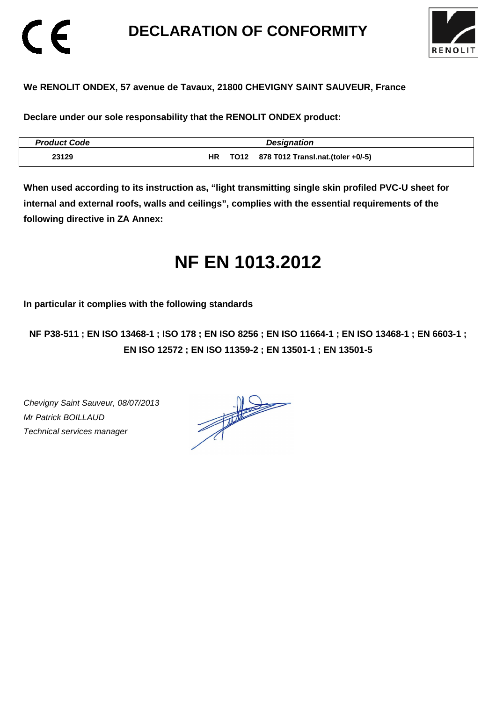### **DECLARATION OF CONFORMITY**



### **We RENOLIT ONDEX, 57 avenue de Tavaux, 21800 CHEVIGNY SAINT SAUVEUR, France**

**Declare under our sole responsability that the RENOLIT ONDEX product:** 

| <b>Product Code</b> | <b>Designation</b>                            |
|---------------------|-----------------------------------------------|
| 23129               | TO12 878 T012 Transl.nat.(toler +0/-5)<br>HR. |

**When used according to its instruction as, "light transmitting single skin profiled PVC-U sheet for internal and external roofs, walls and ceilings", complies with the essential requirements of the following directive in ZA Annex:** 

# **NF EN 1013.2012**

**In particular it complies with the following standards** 

**NF P38-511 ; EN ISO 13468-1 ; ISO 178 ; EN ISO 8256 ; EN ISO 11664-1 ; EN ISO 13468-1 ; EN 6603-1 ; EN ISO 12572 ; EN ISO 11359-2 ; EN 13501-1 ; EN 13501-5**

Chevigny Saint Sauveur, 08/07/2013 Mr Patrick BOILLAUD Technical services manager

CE

 $\frac{1}{\sqrt{2}}$